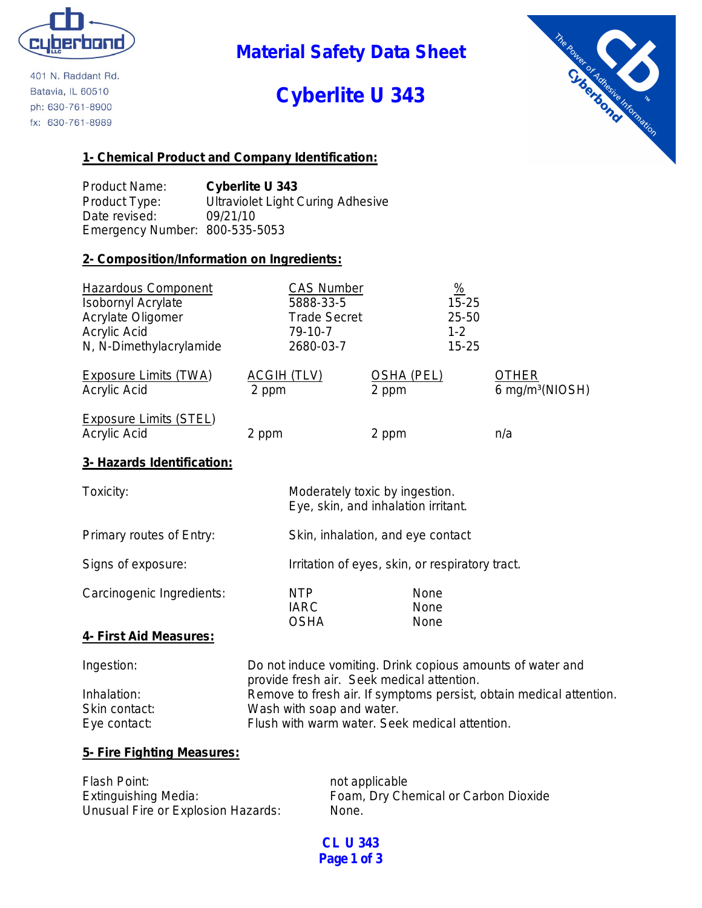

401 N. Raddant Rd. Batavia, IL 60510 ph: 630-761-8900 fx: 630-761-8989

**Material Safety Data Sheet**

# **Cyberlite U 343**



# **1- Chemical Product and Company Identification:**

Product Name: **Cyberlite U 343** Product Type: Ultraviolet Light Curing Adhesive Date revised: 09/21/10 Emergency Number: 800-535-5053

# **2- Composition/Information on Ingredients:**

| <b>Hazardous Component</b><br><b>Isobornyl Acrylate</b><br>Acrylate Oligomer<br>Acrylic Acid | <b>CAS Number</b><br>5888-33-5<br><b>Trade Secret</b><br>79-10-7 |                            | $\frac{9}{6}$<br>$15 - 25$<br>25-50<br>$1 - 2$ |                                                 |
|----------------------------------------------------------------------------------------------|------------------------------------------------------------------|----------------------------|------------------------------------------------|-------------------------------------------------|
| N, N-Dimethylacrylamide                                                                      | 2680-03-7                                                        |                            | $15 - 25$                                      |                                                 |
| <b>Exposure Limits (TWA)</b><br>Acrylic Acid                                                 | <b>ACGIH (TLV)</b><br>2 ppm                                      | <b>OSHA (PEL)</b><br>2 ppm |                                                | <b>OTHER</b><br>6 mg/m <sup>3</sup> ( $NIOSH$ ) |
| Exposure Limits (STEL)<br>Acrylic Acid                                                       | 2 ppm                                                            | 2 ppm                      |                                                | n/a                                             |
| 3- Hazards Identification:                                                                   |                                                                  |                            |                                                |                                                 |

| Toxicity:                 | Moderately toxic by ingestion.<br>Eye, skin, and inhalation irritant. |                      |
|---------------------------|-----------------------------------------------------------------------|----------------------|
| Primary routes of Entry:  | Skin, inhalation, and eye contact                                     |                      |
| Signs of exposure:        | Irritation of eyes, skin, or respiratory tract.                       |                      |
| Carcinogenic Ingredients: | NTP<br><b>IARC</b><br><b>OSHA</b>                                     | None<br>None<br>None |
| 4- First Aid Measures:    |                                                                       |                      |

# Ingestion: Do not induce vomiting. Drink copious amounts of water and provide fresh air. Seek medical attention. Inhalation: Remove to fresh air. If symptoms persist, obtain medical attention. Skin contact: Wash with soap and water. Eye contact: Flush with warm water. Seek medical attention.

# **5- Fire Fighting Measures:**

| Flash Point:                       | not applicable                       |
|------------------------------------|--------------------------------------|
| Extinguishing Media:               | Foam, Dry Chemical or Carbon Dioxide |
| Unusual Fire or Explosion Hazards: | None.                                |

**CL U 343 Page 1 of 3**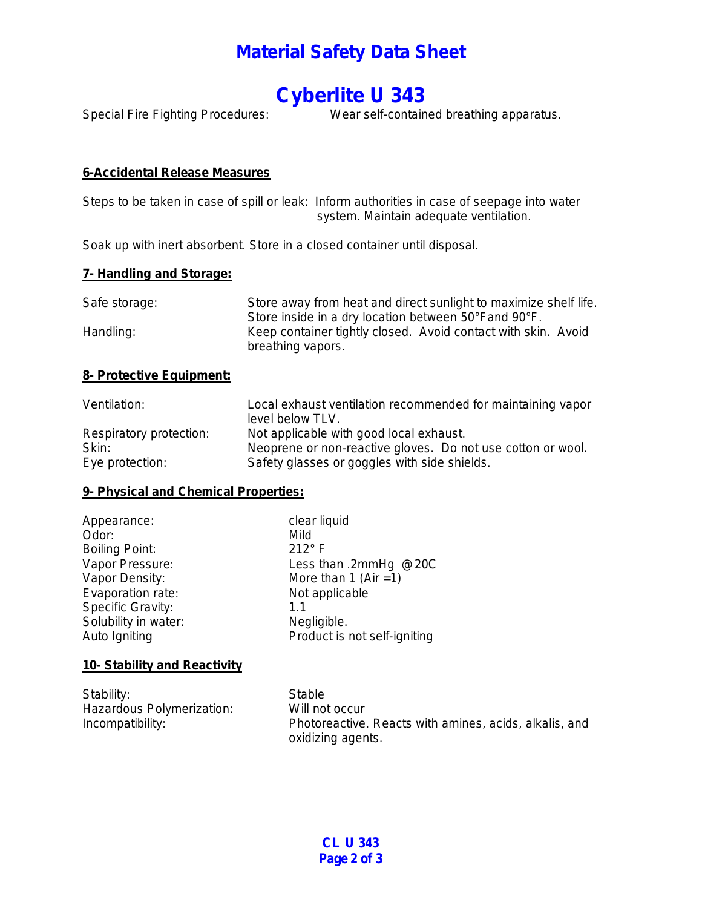# **Material Safety Data Sheet**

# **Cyberlite U 343**

Special Fire Fighting Procedures: Wear self-contained breathing apparatus.

# **6-Accidental Release Measures**

Steps to be taken in case of spill or leak: Inform authorities in case of seepage into water system. Maintain adequate ventilation.

Soak up with inert absorbent. Store in a closed container until disposal.

# **7- Handling and Storage:**

| Safe storage: | Store away from heat and direct sunlight to maximize shelf life.                   |
|---------------|------------------------------------------------------------------------------------|
|               | Store inside in a dry location between 50°Fand 90°F.                               |
| Handling:     | Keep container tightly closed. Avoid contact with skin. Avoid<br>breathing vapors. |

#### **8- Protective Equipment:**

| Ventilation:            | Local exhaust ventilation recommended for maintaining vapor<br>level below TLV. |
|-------------------------|---------------------------------------------------------------------------------|
| Respiratory protection: | Not applicable with good local exhaust.                                         |
| Skin:                   | Neoprene or non-reactive gloves. Do not use cotton or wool.                     |
| Eye protection:         | Safety glasses or goggles with side shields.                                    |

# **9- Physical and Chemical Properties:**

| Appearance:              | clear liquid                 |
|--------------------------|------------------------------|
| Odor:                    | Mild                         |
| <b>Boiling Point:</b>    | $212^\circ$ F                |
| Vapor Pressure:          | Less than .2mmHg @20C        |
| Vapor Density:           | More than 1 (Air = 1)        |
| Evaporation rate:        | Not applicable               |
| <b>Specific Gravity:</b> | 1.1                          |
| Solubility in water:     | Negligible.                  |
| Auto Igniting            | Product is not self-igniting |
|                          |                              |

# **10- Stability and Reactivity**

| Stability:                | Stable                                                 |
|---------------------------|--------------------------------------------------------|
| Hazardous Polymerization: | Will not occur                                         |
| Incompatibility:          | Photoreactive. Reacts with amines, acids, alkalis, and |
|                           | oxidizing agents.                                      |